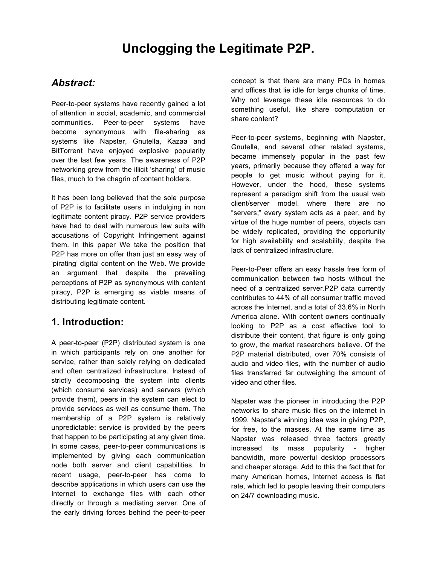# **Unclogging the Legitimate P2P.**

### *Abstract:*

Peer-to-peer systems have recently gained a lot of attention in social, academic, and commercial communities. Peer-to-peer systems have become synonymous with file-sharing as systems like Napster, Gnutella, Kazaa and BitTorrent have enjoyed explosive popularity over the last few years. The awareness of P2P networking grew from the illicit 'sharing' of music files, much to the chagrin of content holders.

It has been long believed that the sole purpose of P2P is to facilitate users in indulging in non legitimate content piracy. P2P service providers have had to deal with numerous law suits with accusations of Copyright Infringement against them. In this paper We take the position that P2P has more on offer than just an easy way of 'pirating' digital content on the Web. We provide an argument that despite the prevailing perceptions of P2P as synonymous with content piracy, P2P is emerging as viable means of distributing legitimate content.

### **1. Introduction:**

A peer-to-peer (P2P) distributed system is one in which participants rely on one another for service, rather than solely relying on dedicated and often centralized infrastructure. Instead of strictly decomposing the system into clients (which consume services) and servers (which provide them), peers in the system can elect to provide services as well as consume them. The membership of a P2P system is relatively unpredictable: service is provided by the peers that happen to be participating at any given time. In some cases, peer-to-peer communications is implemented by giving each communication node both server and client capabilities. In recent usage, peer-to-peer has come to describe applications in which users can use the Internet to exchange files with each other directly or through a mediating server. One of the early driving forces behind the peer-to-peer

concept is that there are many PCs in homes and offices that lie idle for large chunks of time. Why not leverage these idle resources to do something useful, like share computation or share content?

Peer-to-peer systems, beginning with Napster, Gnutella, and several other related systems, became immensely popular in the past few years, primarily because they offered a way for people to get music without paying for it. However, under the hood, these systems represent a paradigm shift from the usual web client/server model, where there are no "servers;" every system acts as a peer, and by virtue of the huge number of peers, objects can be widely replicated, providing the opportunity for high availability and scalability, despite the lack of centralized infrastructure.

Peer-to-Peer offers an easy hassle free form of communication between two hosts without the need of a centralized server.P2P data currently contributes to 44% of all consumer traffic moved across the Internet, and a total of 33.6% in North America alone. With content owners continually looking to P2P as a cost effective tool to distribute their content, that figure is only going to grow, the market researchers believe. Of the P2P material distributed, over 70% consists of audio and video files, with the number of audio files transferred far outweighing the amount of video and other files.

Napster was the pioneer in introducing the P2P networks to share music files on the internet in 1999. Napster's winning idea was in giving P2P, for free, to the masses. At the same time as Napster was released three factors greatly increased its mass popularity - higher bandwidth, more powerful desktop processors and cheaper storage. Add to this the fact that for many American homes, Internet access is flat rate, which led to people leaving their computers on 24/7 downloading music.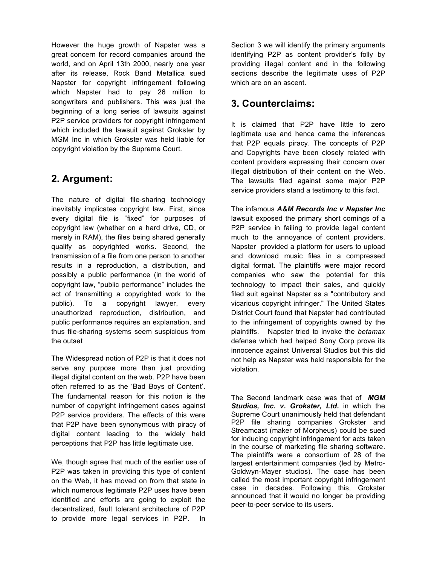However the huge growth of Napster was a great concern for record companies around the world, and on April 13th 2000, nearly one year after its release, Rock Band Metallica sued Napster for copyright infringement following which Napster had to pay 26 million to songwriters and publishers. This was just the beginning of a long series of lawsuits against P2P service providers for copyright infringement which included the lawsuit against Grokster by MGM Inc in which Grokster was held liable for copyright violation by the Supreme Court.

# **2. Argument:**

The nature of digital file-sharing technology inevitably implicates copyright law. First, since every digital file is "fixed" for purposes of copyright law (whether on a hard drive, CD, or merely in RAM), the files being shared generally qualify as copyrighted works. Second, the transmission of a file from one person to another results in a reproduction, a distribution, and possibly a public performance (in the world of copyright law, "public performance" includes the act of transmitting a copyrighted work to the public). To a copyright lawyer, every unauthorized reproduction, distribution, and public performance requires an explanation, and thus file-sharing systems seem suspicious from the outset

The Widespread notion of P2P is that it does not serve any purpose more than just providing illegal digital content on the web. P2P have been often referred to as the 'Bad Boys of Content'. The fundamental reason for this notion is the number of copyright infringement cases against P2P service providers. The effects of this were that P2P have been synonymous with piracy of digital content leading to the widely held perceptions that P2P has little legitimate use.

We, though agree that much of the earlier use of P2P was taken in providing this type of content on the Web, it has moved on from that state in which numerous legitimate P2P uses have been identified and efforts are going to exploit the decentralized, fault tolerant architecture of P2P to provide more legal services in P2P. In

Section 3 we will identify the primary arguments identifying P2P as content provider's folly by providing illegal content and in the following sections describe the legitimate uses of P2P which are on an ascent.

# **3. Counterclaims:**

It is claimed that P2P have little to zero legitimate use and hence came the inferences that P2P equals piracy. The concepts of P2P and Copyrights have been closely related with content providers expressing their concern over illegal distribution of their content on the Web. The lawsuits filed against some major P2P service providers stand a testimony to this fact.

The infamous *A&M Records Inc v Napster Inc* lawsuit exposed the primary short comings of a P2P service in failing to provide legal content much to the annoyance of content providers. Napster provided a platform for users to upload and download music files in a compressed digital format. The plaintiffs were major record companies who saw the potential for this technology to impact their sales, and quickly filed suit against Napster as a "contributory and vicarious copyright infringer." The United States District Court found that Napster had contributed to the infringement of copyrights owned by the plaintiffs. Napster tried to invoke the *betamax* defense which had helped Sony Corp prove its innocence against Universal Studios but this did not help as Napster was held responsible for the violation.

The Second landmark case was that of *MGM Studios, Inc. v. Grokster, Ltd.* in which the Supreme Court unanimously held that defendant P2P file sharing companies Grokster and Streamcast (maker of Morpheus) could be sued for inducing copyright infringement for acts taken in the course of marketing file sharing software. The plaintiffs were a consortium of 28 of the largest entertainment companies (led by Metro-Goldwyn-Mayer studios). The case has been called the most important copyright infringement case in decades. Following this, Grokster announced that it would no longer be providing peer-to-peer service to its users.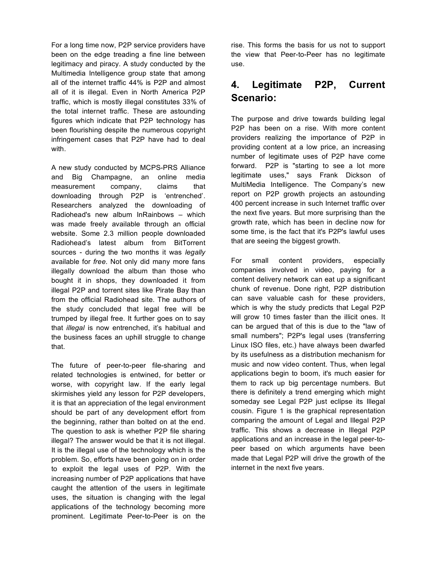For a long time now, P2P service providers have been on the edge treading a fine line between legitimacy and piracy. A study conducted by the Multimedia Intelligence group state that among all of the internet traffic 44% is P2P and almost all of it is illegal. Even in North America P2P traffic, which is mostly illegal constitutes 33% of the total internet traffic. These are astounding figures which indicate that P2P technology has been flourishing despite the numerous copyright infringement cases that P2P have had to deal with.

A new study conducted by MCPS-PRS Alliance and Big Champagne, an online media measurement company, claims that downloading through P2P is 'entrenched'. Researchers analyzed the downloading of Radiohead's new album InRainbows – which was made freely available through an official website. Some 2.3 million people downloaded Radiohead's latest album from BitTorrent sources - during the two months it was *legally* available for *free*. Not only did many more fans illegally download the album than those who bought it in shops, they downloaded it from illegal P2P and torrent sites like Pirate Bay than from the official Radiohead site. The authors of the study concluded that legal free will be trumped by illegal free. It further goes on to say that *illegal* is now entrenched, it's habitual and the business faces an uphill struggle to change that.

The future of peer-to-peer file-sharing and related technologies is entwined, for better or worse, with copyright law. If the early legal skirmishes yield any lesson for P2P developers, it is that an appreciation of the legal environment should be part of any development effort from the beginning, rather than bolted on at the end. The question to ask is whether P2P file sharing illegal? The answer would be that it is not illegal. It is the illegal use of the technology which is the problem. So, efforts have been going on in order to exploit the legal uses of P2P. With the increasing number of P2P applications that have caught the attention of the users in legitimate uses, the situation is changing with the legal applications of the technology becoming more prominent. Legitimate Peer-to-Peer is on the

rise. This forms the basis for us not to support the view that Peer-to-Peer has no legitimate use.

# **4. Legitimate P2P, Current Scenario:**

The purpose and drive towards building legal P2P has been on a rise. With more content providers realizing the importance of P2P in providing content at a low price, an increasing number of legitimate uses of P2P have come forward. P2P is "starting to see a lot more legitimate uses," says Frank Dickson of MultiMedia Intelligence. The Company's new report on P2P growth projects an astounding 400 percent increase in such Internet traffic over the next five years. But more surprising than the growth rate, which has been in decline now for some time, is the fact that it's P2P's lawful uses that are seeing the biggest growth.

For small content providers, especially companies involved in video, paying for a content delivery network can eat up a significant chunk of revenue. Done right, P2P distribution can save valuable cash for these providers, which is why the study predicts that Legal P2P will grow 10 times faster than the illicit ones. It can be argued that of this is due to the "law of small numbers"; P2P's legal uses (transferring Linux ISO files, etc.) have always been dwarfed by its usefulness as a distribution mechanism for music and now video content. Thus, when legal applications begin to boom, it's much easier for them to rack up big percentage numbers. But there is definitely a trend emerging which might someday see Legal P2P just eclipse its Illegal cousin. Figure 1 is the graphical representation comparing the amount of Legal and Illegal P2P traffic. This shows a decrease in Illegal P2P applications and an increase in the legal peer-topeer based on which arguments have been made that Legal P2P will drive the growth of the internet in the next five years.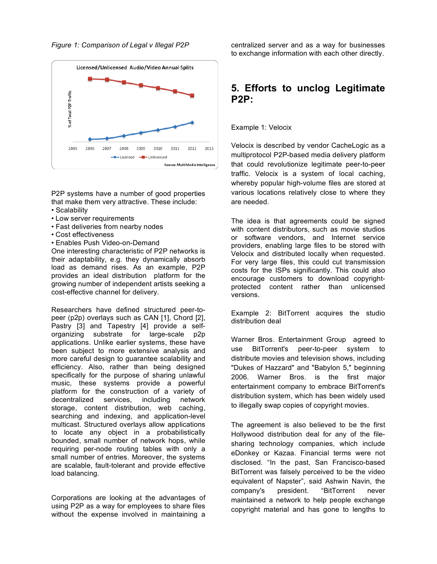



P2P systems have a number of good properties that make them very attractive. These include:

- Scalability
- Low server requirements
- Fast deliveries from nearby nodes
- Cost effectiveness
- Enables Push Video-on-Demand

One interesting characteristic of P2P networks is their adaptability, e.g. they dynamically absorb load as demand rises. As an example, P2P provides an ideal distribution platform for the growing number of independent artists seeking a cost-effective channel for delivery.

Researchers have defined structured peer-topeer (p2p) overlays such as CAN [1], Chord [2], Pastry [3] and Tapestry [4] provide a selforganizing substrate for large-scale p2p applications. Unlike earlier systems, these have been subject to more extensive analysis and more careful design to guarantee scalability and efficiency. Also, rather than being designed specifically for the purpose of sharing unlawful music, these systems provide a powerful platform for the construction of a variety of decentralized services, including network storage, content distribution, web caching, searching and indexing, and application-level multicast. Structured overlays allow applications to locate any object in a probabilistically bounded, small number of network hops, while requiring per-node routing tables with only a small number of entries. Moreover, the systems are scalable, fault-tolerant and provide effective load balancing.

Corporations are looking at the advantages of using P2P as a way for employees to share files without the expense involved in maintaining a

centralized server and as a way for businesses to exchange information with each other directly.

### **5. Efforts to unclog Legitimate P2P:**

Example 1: Velocix

Velocix is described by vendor CacheLogic as a multiprotocol P2P-based media delivery platform that could revolutionize legitimate peer-to-peer traffic. Velocix is a system of local caching, whereby popular high-volume files are stored at various locations relatively close to where they are needed.

The idea is that agreements could be signed with content distributors, such as movie studios or software vendors, and Internet service providers, enabling large files to be stored with Velocix and distributed locally when requested. For very large files, this could cut transmission costs for the ISPs significantly. This could also encourage customers to download copyrightprotected content rather than unlicensed versions.

Example 2: BitTorrent acquires the studio distribution deal

Warner Bros. Entertainment Group agreed to use BitTorrent's peer-to-peer system to distribute movies and television shows, including "Dukes of Hazzard" and "Babylon 5," beginning 2006. Warner Bros. is the first major entertainment company to embrace BitTorrent's distribution system, which has been widely used to illegally swap copies of copyright movies.

The agreement is also believed to be the first Hollywood distribution deal for any of the filesharing technology companies, which include eDonkey or Kazaa. Financial terms were not disclosed. "In the past, San Francisco-based BitTorrent was falsely perceived to be the video equivalent of Napster", said Ashwin Navin, the company's president. "BitTorrent never maintained a network to help people exchange copyright material and has gone to lengths to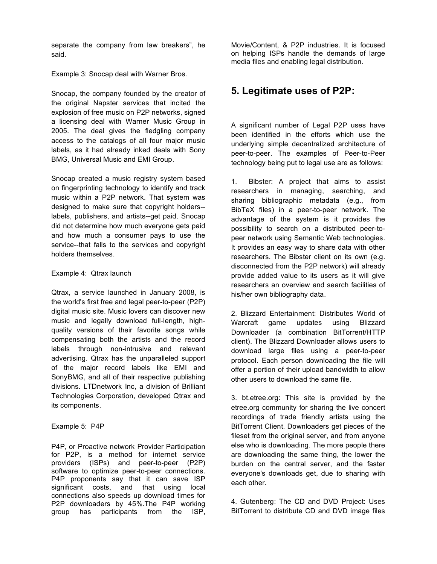separate the company from law breakers", he said.

Example 3: Snocap deal with Warner Bros.

Snocap, the company founded by the creator of the original Napster services that incited the explosion of free music on P2P networks, signed a licensing deal with Warner Music Group in 2005. The deal gives the fledgling company access to the catalogs of all four major music labels, as it had already inked deals with Sony BMG, Universal Music and EMI Group.

Snocap created a music registry system based on fingerprinting technology to identify and track music within a P2P network. That system was designed to make sure that copyright holders- labels, publishers, and artists--get paid. Snocap did not determine how much everyone gets paid and how much a consumer pays to use the service--that falls to the services and copyright holders themselves.

#### Example 4: Qtrax launch

Qtrax, a service launched in January 2008, is the world's first free and legal peer-to-peer (P2P) digital music site. Music lovers can discover new music and legally download full-length, highquality versions of their favorite songs while compensating both the artists and the record labels through non-intrusive and relevant advertising. Qtrax has the unparalleled support of the major record labels like EMI and SonyBMG, and all of their respective publishing divisions. LTDnetwork Inc, a division of Brilliant Technologies Corporation, developed Qtrax and its components.

#### Example 5: P4P

P4P, or Proactive network Provider Participation for P2P, is a method for internet service providers (ISPs) and peer-to-peer (P2P) software to optimize peer-to-peer connections. P4P proponents say that it can save ISP significant costs, and that using local connections also speeds up download times for P2P downloaders by 45%.The P4P working group has participants from the ISP,

Movie/Content, & P2P industries. It is focused on helping ISPs handle the demands of large media files and enabling legal distribution.

# **5. Legitimate uses of P2P:**

A significant number of Legal P2P uses have been identified in the efforts which use the underlying simple decentralized architecture of peer-to-peer. The examples of Peer-to-Peer technology being put to legal use are as follows:

1. Bibster: A project that aims to assist researchers in managing, searching, and sharing bibliographic metadata (e.g., from BibTeX files) in a peer-to-peer network. The advantage of the system is it provides the possibility to search on a distributed peer-topeer network using Semantic Web technologies. It provides an easy way to share data with other researchers. The Bibster client on its own (e.g. disconnected from the P2P network) will already provide added value to its users as it will give researchers an overview and search facilities of his/her own bibliography data.

2. Blizzard Entertainment: Distributes World of Warcraft game updates using Blizzard Downloader (a combination BitTorrent/HTTP client). The Blizzard Downloader allows users to download large files using a peer-to-peer protocol. Each person downloading the file will offer a portion of their upload bandwidth to allow other users to download the same file.

3. bt.etree.org: This site is provided by the etree.org community for sharing the live concert recordings of trade friendly artists using the BitTorrent Client. Downloaders get pieces of the fileset from the original server, and from anyone else who is downloading. The more people there are downloading the same thing, the lower the burden on the central server, and the faster everyone's downloads get, due to sharing with each other.

4. Gutenberg: The CD and DVD Project: Uses BitTorrent to distribute CD and DVD image files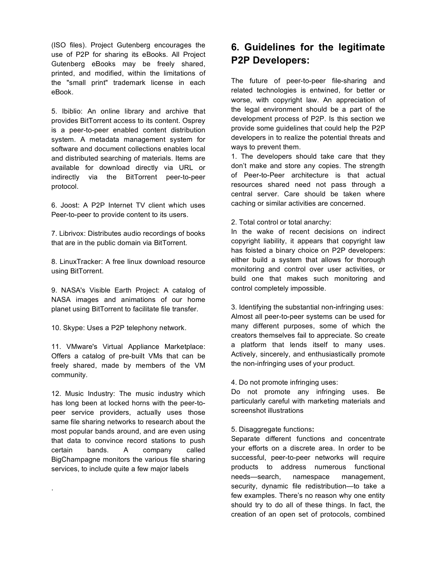(ISO files). Project Gutenberg encourages the use of P2P for sharing its eBooks. All Project Gutenberg eBooks may be freely shared, printed, and modified, within the limitations of the "small print" trademark license in each eBook.

5. Ibiblio: An online library and archive that provides BitTorrent access to its content. Osprey is a peer-to-peer enabled content distribution system. A metadata management system for software and document collections enables local and distributed searching of materials. Items are available for download directly via URL or indirectly via the BitTorrent peer-to-peer protocol.

6. Joost: A P2P Internet TV client which uses Peer-to-peer to provide content to its users.

7. Librivox: Distributes audio recordings of books that are in the public domain via BitTorrent.

8. LinuxTracker: A free linux download resource using BitTorrent.

9. NASA's Visible Earth Project: A catalog of NASA images and animations of our home planet using BitTorrent to facilitate file transfer.

10. Skype: Uses a P2P telephony network.

11. VMware's Virtual Appliance Marketplace: Offers a catalog of pre-built VMs that can be freely shared, made by members of the VM community.

12. Music Industry: The music industry which has long been at locked horns with the peer-topeer service providers, actually uses those same file sharing networks to research about the most popular bands around, and are even using that data to convince record stations to push certain bands. A company called BigChampagne monitors the various file sharing services, to include quite a few major labels

.

# **6. Guidelines for the legitimate P2P Developers:**

The future of peer-to-peer file-sharing and related technologies is entwined, for better or worse, with copyright law. An appreciation of the legal environment should be a part of the development process of P2P. Is this section we provide some guidelines that could help the P2P developers in to realize the potential threats and ways to prevent them.

1. The developers should take care that they don't make and store any copies. The strength of Peer-to-Peer architecture is that actual resources shared need not pass through a central server. Care should be taken where caching or similar activities are concerned.

2. Total control or total anarchy:

In the wake of recent decisions on indirect copyright liability, it appears that copyright law has foisted a binary choice on P2P developers: either build a system that allows for thorough monitoring and control over user activities, or build one that makes such monitoring and control completely impossible.

3. Identifying the substantial non-infringing uses: Almost all peer-to-peer systems can be used for many different purposes, some of which the creators themselves fail to appreciate. So create a platform that lends itself to many uses. Actively, sincerely, and enthusiastically promote the non-infringing uses of your product.

#### 4. Do not promote infringing uses:

Do not promote any infringing uses. Be particularly careful with marketing materials and screenshot illustrations

5. Disaggregate functions**:**

Separate different functions and concentrate your efforts on a discrete area. In order to be successful, peer-to-peer networks will require products to address numerous functional needs—search, namespace management, security, dynamic file redistribution—to take a few examples. There's no reason why one entity should try to do all of these things. In fact, the creation of an open set of protocols, combined